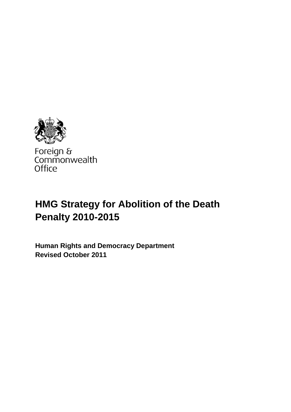

Foreign &<br>Commonwealth Office

# **HMG Strategy for Abolition of the Death Penalty 2010-2015**

**Human Rights and Democracy Department Revised October 2011**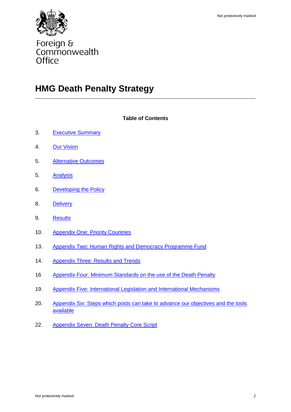

Foreign &<br>Commonwealth **Office** 

## **HMG Death Penalty Strategy**

#### **Table of Contents**

- 3. [Executive Summary](#page-2-0)
- 4. [Our Vision](#page-3-0)
- 5. [Alternative Outcomes](#page-4-0)
- 5. [Analysis](#page-4-1)
- 6. [Developing the Policy](#page-5-0)
- 8. [Delivery](#page-7-0)
- 9. [Results](#page-8-0)
- 10. [Appendix One: Priority Countries](#page-9-0)
- 13. [Appendix Two: Human Rights and Democracy Programme Fund](#page-12-0)
- 14. Appendix Three: [Results and Trends](#page-13-0)
- 16 [Appendix Four: Minimum Standards on the use of the Death Penalty](#page-15-0)
- 19. [Appendix Five: International Legislation and International Mechanisms](#page-18-0)
- 20. [Appendix Six: Steps which posts can take to advance our objectives and the tools](#page-19-0)  [available](#page-19-0)
- 22. [Appendix Seven: Death Penalty Core Script](#page-21-0)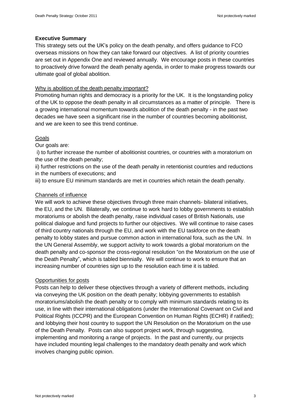#### <span id="page-2-0"></span>**Executive Summary**

This strategy sets out the UK's policy on the death penalty, and offers guidance to FCO overseas missions on how they can take forward our objectives. A list of priority countries are set out in Appendix One and reviewed annually. We encourage posts in these countries to proactively drive forward the death penalty agenda, in order to make progress towards our ultimate goal of global abolition.

#### Why is abolition of the death penalty important?

Promoting human rights and democracy is a priority for the UK. It is the longstanding policy of the UK to oppose the death penalty in all circumstances as a matter of principle. There is a growing international momentum towards abolition of the death penalty - in the past two decades we have seen a significant rise in the number of countries becoming abolitionist, and we are keen to see this trend continue.

#### Goals

Our goals are:

i) to further increase the number of abolitionist countries, or countries with a moratorium on the use of the death penalty;

ii) further restrictions on the use of the death penalty in retentionist countries and reductions in the numbers of executions; and

iii) to ensure EU minimum standards are met in countries which retain the death penalty.

#### Channels of influence

We will work to achieve these objectives through three main channels- bilateral initiatives, the EU, and the UN. Bilaterally, we continue to work hard to lobby governments to establish moratoriums or abolish the death penalty, raise individual cases of British Nationals, use political dialogue and fund projects to further our objectives. We will continue to raise cases of third country nationals through the EU, and work with the EU taskforce on the death penalty to lobby states and pursue common action in international fora, such as the UN. In the UN General Assembly, we support activity to work towards a global moratorium on the death penalty and co-sponsor the cross-regional resolution "on the Moratorium on the use of the Death Penalty", which is tabled biennially. We will continue to work to ensure that an increasing number of countries sign up to the resolution each time it is tabled.

#### Opportunities for posts

Posts can help to deliver these objectives through a variety of different methods, including via conveying the UK position on the death penalty; lobbying governments to establish moratoriums/abolish the death penalty or to comply with minimum standards relating to its use, in line with their international obligations (under the International Covenant on Civil and Political Rights (ICCPR) and the European Convention on Human Rights (ECHR) if ratified); and lobbying their host country to support the UN Resolution on the Moratorium on the use of the Death Penalty. Posts can also support project work, through suggesting, implementing and monitoring a range of projects. In the past and currently, our projects have included mounting legal challenges to the mandatory death penalty and work which involves changing public opinion.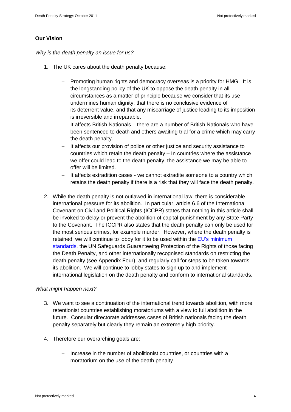#### <span id="page-3-0"></span>**Our Vision**

*Why is the death penalty an issue for us?*

- 1. The UK cares about the death penalty because:
	- Promoting human rights and democracy overseas is a priority for HMG. It is the longstanding policy of the UK to oppose the death penalty in all circumstances as a matter of principle because we consider that its use undermines human dignity, that there is no conclusive evidence of its deterrent value, and that any miscarriage of justice leading to its imposition is irreversible and irreparable.
	- It affects British Nationals there are a number of British Nationals who have been sentenced to death and others awaiting trial for a crime which may carry the death penalty.
	- It affects our provision of police or other justice and security assistance to countries which retain the death penalty – In countries where the assistance we offer could lead to the death penalty, the assistance we may be able to offer will be limited.
	- It affects extradition cases we cannot extradite someone to a country which retains the death penalty if there is a risk that they will face the death penalty.
- 2. While the death penalty is not outlawed in international law, there is considerable international pressure for its abolition. In particular, article 6.6 of the International Covenant on Civil and Political Rights (ICCPR) states that nothing in this article shall be invoked to delay or prevent the abolition of capital punishment by any State Party to the Covenant. The ICCPR also states that the death penalty can only be used for the most serious crimes, for example murder. However, where the death penalty is retained, we will continue to lobby for it to be used within the [EU's minimum](http://www.consilium.europa.eu/uedocs/cmsUpload/10015.en08.pdf)  [standards,](http://www.consilium.europa.eu/uedocs/cmsUpload/10015.en08.pdf) the UN Safeguards Guaranteeing Protection of the Rights of those facing the Death Penalty, and other internationally recognised standards on restricting the death penalty (see Appendix Four), and regularly call for steps to be taken towards its abolition. We will continue to lobby states to sign up to and implement international legislation on the death penalty and conform to international standards.

#### *What might happen next?*

- 3. We want to see a continuation of the international trend towards abolition, with more retentionist countries establishing moratoriums with a view to full abolition in the future. Consular directorate addresses cases of British nationals facing the death penalty separately but clearly they remain an extremely high priority.
- 4. Therefore our overarching goals are:
	- Increase in the number of abolitionist countries, or countries with a moratorium on the use of the death penalty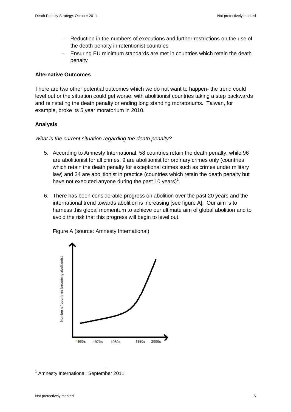- Reduction in the numbers of executions and further restrictions on the use of the death penalty in retentionist countries
- Ensuring EU minimum standards are met in countries which retain the death penalty

#### <span id="page-4-0"></span>**Alternative Outcomes**

There are two other potential outcomes which we do not want to happen- the trend could level out or the situation could get worse, with abolitionist countries taking a step backwards and reinstating the death penalty or ending long standing moratoriums. Taiwan, for example, broke its 5 year moratorium in 2010.

#### <span id="page-4-1"></span>**Analysis**

*What is the current situation regarding the death penalty?*

- 5. According to Amnesty International, 58 countries retain the death penalty, while 96 are abolitionist for all crimes, 9 are abolitionist for ordinary crimes only (countries which retain the death penalty for exceptional crimes such as crimes under military law) and 34 are abolitionist in practice (countries which retain the death penalty but have not executed anyone during the past 10 years)<sup>1</sup>.
- 6. There has been considerable progress on abolition over the past 20 years and the international trend towards abolition is increasing [see figure A]. Our aim is to harness this global momentum to achieve our ultimate aim of global abolition and to avoid the risk that this progress will begin to level out.



Figure A (source: Amnesty International)

<sup>-</sup>1 Amnesty International: September 2011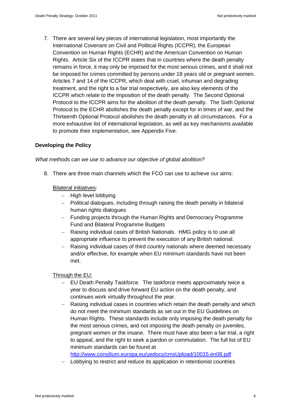7. There are several key pieces of international legislation, most importantly the International Covenant on Civil and Political Rights (ICCPR), the European Convention on Human Rights (ECHR) and the American Convention on Human Rights. Article Six of the ICCPR states that in countries where the death penalty remains in force, it may only be imposed for the most serious crimes, and it shall not be imposed for crimes committed by persons under 18 years old or pregnant women. Articles 7 and 14 of the ICCPR, which deal with cruel, inhuman and degrading treatment, and the right to a fair trial respectively, are also key elements of the ICCPR which relate to the imposition of the death penalty. The Second Optional Protocol to the ICCPR aims for the abolition of the death penalty. The Sixth Optional Protocol to the ECHR abolishes the death penalty except for in times of war, and the Thirteenth Optional Protocol abolishes the death penalty in all circumstances. For a more exhaustive list of international legislation, as well as key mechanisms available to promote their implementation, see Appendix Five.

#### <span id="page-5-0"></span>**Developing the Policy**

#### *What methods can we use to advance our objective of global abolition?*

8. There are three main channels which the FCO can use to achieve our aims:

#### Bilateral initiatives:

- $-$  High level lobbying
- Political dialogues, including through raising the death penalty in bilateral human rights dialogues
- Funding projects through the Human Rights and Democracy Programme Fund and Bilateral Programme Budgets
- Raising individual cases of British Nationals. HMG policy is to use all appropriate influence to prevent the execution of any British national.
- Raising individual cases of third country nationals where deemed necessary and/or effective, for example when EU minimum standards have not been met.

#### Through the EU:

- EU Death Penalty Taskforce. The taskforce meets approximately twice a year to discuss and drive forward EU action on the death penalty, and continues work virtually throughout the year.
- Raising individual cases in countries which retain the death penalty and which do not meet the minimum standards as set out in the EU Guidelines on Human Rights. These standards include only imposing the death penalty for the most serious crimes, and not imposing the death penalty on juveniles, pregnant women or the insane. There must have also been a fair trial, a right to appeal, and the right to seek a pardon or commutation. The full list of EU minimum standards can be found at

<http://www.consilium.europa.eu/uedocs/cmsUpload/10015.en08.pdf>

Lobbying to restrict and reduce its application in retentionist countries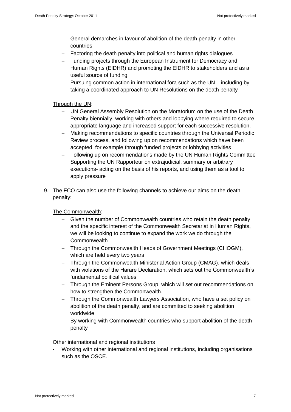- General demarches in favour of abolition of the death penalty in other countries
- $-$  Factoring the death penalty into political and human rights dialogues
- Funding projects through the European Instrument for Democracy and Human Rights (EIDHR) and promoting the EIDHR to stakeholders and as a useful source of funding
- Pursuing common action in international fora such as the UN including by taking a coordinated approach to UN Resolutions on the death penalty

#### Through the UN:

- UN General Assembly Resolution on the Moratorium on the use of the Death Penalty biennially, working with others and lobbying where required to secure appropriate language and increased support for each successive resolution.
- Making recommendations to specific countries through the Universal Periodic Review process, and following up on recommendations which have been accepted, for example through funded projects or lobbying activities
- Following up on recommendations made by the UN Human Rights Committee Supporting the UN Rapporteur on extrajudicial, summary or arbitrary executions- acting on the basis of his reports, and using them as a tool to apply pressure
- 9. The FCO can also use the following channels to achieve our aims on the death penalty:

#### The Commonwealth:

- Given the number of Commonwealth countries who retain the death penalty and the specific interest of the Commonwealth Secretariat in Human Rights, we will be looking to continue to expand the work we do through the Commonwealth
- Through the Commonwealth Heads of Government Meetings (CHOGM), which are held every two years
- Through the Commonwealth Ministerial Action Group (CMAG), which deals with violations of the Harare Declaration, which sets out the Commonwealth's fundamental political values
- Through the Eminent Persons Group, which will set out recommendations on how to strengthen the Commonwealth.
- Through the Commonwealth Lawyers Association, who have a set policy on abolition of the death penalty, and are committed to seeking abolition worldwide
- By working with Commonwealth countries who support abolition of the death penalty

#### Other international and regional institutions

Working with other international and regional institutions, including organisations such as the OSCE.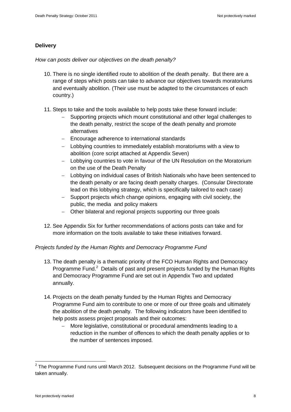#### <span id="page-7-0"></span>**Delivery**

*How can posts deliver our objectives on the death penalty?*

- 10. There is no single identified route to abolition of the death penalty. But there are a range of steps which posts can take to advance our objectives towards moratoriums and eventually abolition. (Their use must be adapted to the circumstances of each country.)
- 11. Steps to take and the tools available to help posts take these forward include:
	- Supporting projects which mount constitutional and other legal challenges to the death penalty, restrict the scope of the death penalty and promote alternatives
	- Encourage adherence to international standards
	- Lobbying countries to immediately establish moratoriums with a view to abolition (core script attached at Appendix Seven)
	- Lobbying countries to vote in favour of the UN Resolution on the Moratorium on the use of the Death Penalty
	- Lobbying on individual cases of British Nationals who have been sentenced to the death penalty or are facing death penalty charges. (Consular Directorate lead on this lobbying strategy, which is specifically tailored to each case)
	- Support projects which change opinions, engaging with civil society, the public, the media and policy makers
	- Other bilateral and regional projects supporting our three goals
- 12. See Appendix Six for further recommendations of actions posts can take and for more information on the tools available to take these initiatives forward.

#### *Projects funded by the Human Rights and Democracy Programme Fund*

- 13. The death penalty is a thematic priority of the FCO Human Rights and Democracy Programme Fund.<sup>2</sup> Details of past and present projects funded by the Human Rights and Democracy Programme Fund are set out in Appendix Two and updated annually.
- 14. Projects on the death penalty funded by the Human Rights and Democracy Programme Fund aim to contribute to one or more of our three goals and ultimately the abolition of the death penalty. The following indicators have been identified to help posts assess project proposals and their outcomes:
	- More legislative, constitutional or procedural amendments leading to a reduction in the number of offences to which the death penalty applies or to the number of sentences imposed.

-

 $2$  The Programme Fund runs until March 2012. Subsequent decisions on the Programme Fund will be taken annually.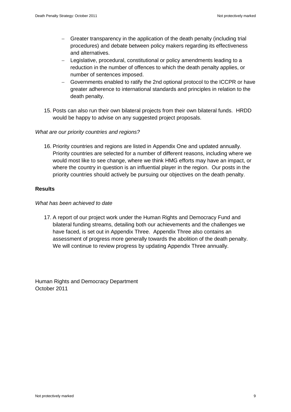- Greater transparency in the application of the death penalty (including trial procedures) and debate between policy makers regarding its effectiveness and alternatives.
- Legislative, procedural, constitutional or policy amendments leading to a reduction in the number of offences to which the death penalty applies, or number of sentences imposed.
- Governments enabled to ratify the 2nd optional protocol to the ICCPR or have greater adherence to international standards and principles in relation to the death penalty.
- 15. Posts can also run their own bilateral projects from their own bilateral funds. HRDD would be happy to advise on any suggested project proposals.

#### *What are our priority countries and regions?*

16. Priority countries and regions are listed in Appendix One and updated annually. Priority countries are selected for a number of different reasons, including where we would most like to see change, where we think HMG efforts may have an impact, or where the country in question is an influential player in the region. Our posts in the priority countries should actively be pursuing our objectives on the death penalty.

#### <span id="page-8-0"></span>**Results**

#### *What has been achieved to date*

17. A report of our project work under the Human Rights and Democracy Fund and bilateral funding streams, detailing both our achievements and the challenges we have faced, is set out in Appendix Three. Appendix Three also contains an assessment of progress more generally towards the abolition of the death penalty. We will continue to review progress by updating Appendix Three annually.

Human Rights and Democracy Department October 2011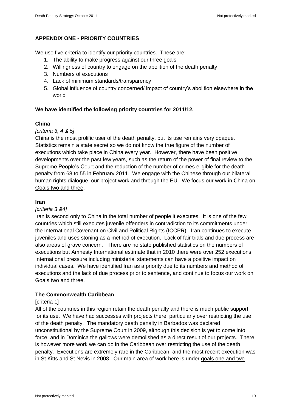#### <span id="page-9-0"></span>**APPENDIX ONE - PRIORITY COUNTRIES**

We use five criteria to identify our priority countries. These are:

- 1. The ability to make progress against our three goals
- 2. Willingness of country to engage on the abolition of the death penalty
- 3. Numbers of executions
- 4. Lack of minimum standards/transparency
- 5. Global influence of country concerned/ impact of country's abolition elsewhere in the world

#### **We have identified the following priority countries for 2011/12.**

#### **China**

#### *[criteria 3, 4 & 5]*

China is the most prolific user of the death penalty, but its use remains very opaque. Statistics remain a state secret so we do not know the true figure of the number of executions which take place in China every year. However, there have been positive developments over the past few years, such as the return of the power of final review to the Supreme People's Court and the reduction of the number of crimes eligible for the death penalty from 68 to 55 in February 2011. We engage with the Chinese through our bilateral human rights dialogue, our project work and through the EU. We focus our work in China on Goals two and three.

#### **Iran**

#### *[criteria 3 &4]*

Iran is second only to China in the total number of people it executes. It is one of the few countries which still executes juvenile offenders in contradiction to its commitments under the International Covenant on Civil and Political Rights (ICCPR). Iran continues to execute juveniles and uses stoning as a method of execution. Lack of fair trials and due process are also areas of grave concern. There are no state published statistics on the numbers of executions but Amnesty International estimate that in 2010 there were over 252 executions. International pressure including ministerial statements can have a positive impact on individual cases. We have identified Iran as a priority due to its numbers and method of executions and the lack of due process prior to sentence, and continue to focus our work on Goals two and three.

#### **The Commonwealth Caribbean**

#### [criteria 1]

All of the countries in this region retain the death penalty and there is much public support for its use. We have had successes with projects there, particularly over restricting the use of the death penalty. The mandatory death penalty in Barbados was declared unconstitutional by the Supreme Court in 2009, although this decision is yet to come into force, and in Dominica the gallows were demolished as a direct result of our projects. There is however more work we can do in the Caribbean over restricting the use of the death penalty. Executions are extremely rare in the Caribbean, and the most recent execution was in St Kitts and St Nevis in 2008. Our main area of work here is under goals one and two.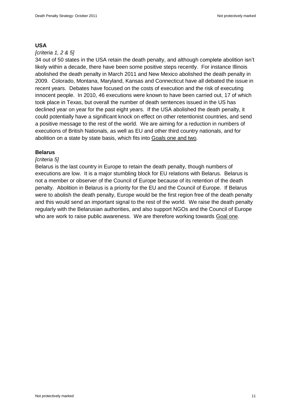#### **USA**



34 out of 50 states in the USA retain the death penalty, and although complete abolition isn't likely within a decade, there have been some positive steps recently. For instance Illinois abolished the death penalty in March 2011 and New Mexico abolished the death penalty in 2009. Colorado, Montana, Maryland, Kansas and Connecticut have all debated the issue in recent years. Debates have focused on the costs of execution and the risk of executing innocent people. In 2010, 46 executions were known to have been carried out, 17 of which took place in Texas, but overall the number of death sentences issued in the US has declined year on year for the past eight years. If the USA abolished the death penalty, it could potentially have a significant knock on effect on other retentionist countries, and send a positive message to the rest of the world. We are aiming for a reduction in numbers of executions of British Nationals, as well as EU and other third country nationals, and for abolition on a state by state basis, which fits into Goals one and two.

#### **Belarus**

#### *[criteria 5]*

Belarus is the last country in Europe to retain the death penalty, though numbers of executions are low. It is a major stumbling block for EU relations with Belarus. Belarus is not a member or observer of the Council of Europe because of its retention of the death penalty. Abolition in Belarus is a priority for the EU and the Council of Europe. If Belarus were to abolish the death penalty, Europe would be the first region free of the death penalty and this would send an important signal to the rest of the world. We raise the death penalty regularly with the Belarusian authorities, and also support NGOs and the Council of Europe who are work to raise public awareness. We are therefore working towards Goal one.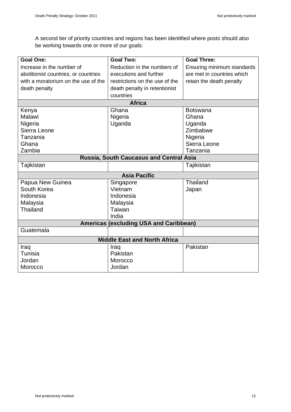A second tier of priority countries and regions has been identified where posts should also be working towards one or more of our goals:

| <b>Goal One:</b>                              | <b>Goal Two:</b>               | <b>Goal Three:</b>         |  |
|-----------------------------------------------|--------------------------------|----------------------------|--|
| Increase in the number of                     | Reduction in the numbers of    | Ensuring minimum standards |  |
| abolitionist countries, or countries          | executions and further         | are met in countries which |  |
| with a moratorium on the use of the           | restrictions on the use of the | retain the death penalty   |  |
| death penalty                                 | death penalty in retentionist  |                            |  |
|                                               | countries                      |                            |  |
|                                               | <b>Africa</b>                  |                            |  |
| Kenya                                         | Ghana                          | <b>Botswana</b>            |  |
| Malawi                                        | Nigeria                        | Ghana                      |  |
| Nigeria                                       | Uganda                         | Uganda                     |  |
| Sierra Leone                                  |                                | Zimbabwe                   |  |
| Tanzania                                      |                                | Nigeria                    |  |
| Ghana                                         |                                | Sierra Leone               |  |
| Zambia                                        |                                | Tanzania                   |  |
| Russia, South Caucasus and Central Asia       |                                |                            |  |
| Tajikistan                                    |                                | Tajikistan                 |  |
| <b>Asia Pacific</b>                           |                                |                            |  |
| Papua New Guinea                              | Singapore                      | Thailand                   |  |
| South Korea                                   | Vietnam                        | Japan                      |  |
| Indonesia                                     | Indonesia                      |                            |  |
| Malaysia                                      | Malaysia                       |                            |  |
| <b>Thailand</b>                               | Taiwan                         |                            |  |
|                                               | India                          |                            |  |
| <b>Americas (excluding USA and Caribbean)</b> |                                |                            |  |
| Guatemala                                     |                                |                            |  |
| <b>Middle East and North Africa</b>           |                                |                            |  |
| Iraq                                          | Iraq                           | Pakistan                   |  |
| Tunisia                                       | Pakistan                       |                            |  |
| Jordan                                        | Morocco                        |                            |  |
| Morocco                                       | Jordan                         |                            |  |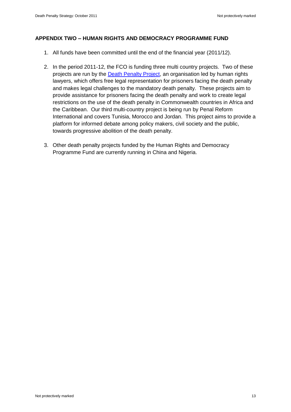#### <span id="page-12-0"></span>**APPENDIX TWO – HUMAN RIGHTS AND DEMOCRACY PROGRAMME FUND**

- 1. All funds have been committed until the end of the financial year (2011/12).
- 2. In the period 2011-12, the FCO is funding three multi country projects. Two of these projects are run by the [Death Penalty Project,](http://www.deathpenaltyproject.org/) an organisation led by human rights lawyers, which offers free legal representation for prisoners facing the death penalty and makes legal challenges to the mandatory death penalty. These projects aim to provide assistance for prisoners facing the death penalty and work to create legal restrictions on the use of the death penalty in Commonwealth countries in Africa and the Caribbean. Our third multi-country project is being run by Penal Reform International and covers Tunisia, Morocco and Jordan. This project aims to provide a platform for informed debate among policy makers, civil society and the public, towards progressive abolition of the death penalty.
- 3. Other death penalty projects funded by the Human Rights and Democracy Programme Fund are currently running in China and Nigeria.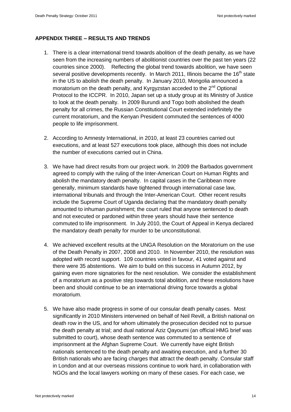#### <span id="page-13-0"></span>**APPENDIX THREE – RESULTS AND TRENDS**

- 1. There is a clear international trend towards abolition of the death penalty, as we have seen from the increasing numbers of abolitionist countries over the past ten years (22 countries since 2000). Reflecting the global trend towards abolition, we have seen several positive developments recently. In March 2011, Illinois became the  $16<sup>th</sup>$  state in the US to abolish the death penalty. In January 2010, Mongolia announced a moratorium on the death penalty, and Kyrgyzstan acceded to the  $2^{nd}$  Optional Protocol to the ICCPR. In 2010, Japan set up a study group at its Ministry of Justice to look at the death penalty. In 2009 Burundi and Togo both abolished the death penalty for all crimes, the Russian Constitutional Court extended indefinitely the current moratorium, and the Kenyan President commuted the sentences of 4000 people to life imprisonment.
- 2. According to Amnesty International, in 2010, at least 23 countries carried out executions, and at least 527 executions took place, although this does not include the number of executions carried out in China.
- 3. We have had direct results from our project work. In 2009 the Barbados government agreed to comply with the ruling of the Inter-American Court on Human Rights and abolish the mandatory death penalty. In capital cases in the Caribbean more generally, minimum standards have tightened through international case law, international tribunals and through the Inter-American Court. Other recent results include the Supreme Court of Uganda declaring that the mandatory death penalty amounted to inhuman punishment; the court ruled that anyone sentenced to death and not executed or pardoned within three years should have their sentence commuted to life imprisonment. In July 2010, the Court of Appeal in Kenya declared the mandatory death penalty for murder to be unconstitutional.
- 4. We achieved excellent results at the UNGA Resolution on the Moratorium on the use of the Death Penalty in 2007, 2008 and 2010. In November 2010, the resolution was adopted with record support. 109 countries voted in favour, 41 voted against and there were 35 abstentions. We aim to build on this success in Autumn 2012, by gaining even more signatories for the next resolution. We consider the establishment of a moratorium as a positive step towards total abolition, and these resolutions have been and should continue to be an international driving force towards a global moratorium.
- 5. We have also made progress in some of our consular death penalty cases. Most significantly in 2010 Ministers intervened on behalf of Neil Revill, a British national on death row in the US, and for whom ultimately the prosecution decided not to pursue the death penalty at trial; and dual national Aziz Qayoumi (an official HMG brief was submitted to court), whose death sentence was commuted to a sentence of imprisonment at the Afghan Supreme Court. We currently have eight British nationals sentenced to the death penalty and awaiting execution, and a further 30 British nationals who are facing charges that attract the death penalty. Consular staff in London and at our overseas missions continue to work hard, in collaboration with NGOs and the local lawyers working on many of these cases. For each case, we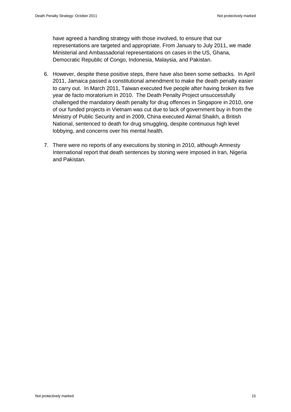have agreed a handling strategy with those involved, to ensure that our representations are targeted and appropriate. From January to July 2011, we made Ministerial and Ambassadorial representations on cases in the US, Ghana, Democratic Republic of Congo, Indonesia, Malaysia, and Pakistan.

- 6. However, despite these positive steps, there have also been some setbacks. In April 2011, Jamaica passed a constitutional amendment to make the death penalty easier to carry out. In March 2011, Taiwan executed five people after having broken its five year de facto moratorium in 2010. The Death Penalty Project unsuccessfully challenged the mandatory death penalty for drug offences in Singapore in 2010, one of our funded projects in Vietnam was cut due to lack of government buy in from the Ministry of Public Security and in 2009, China executed Akmal Shaikh, a British National, sentenced to death for drug smuggling, despite continuous high level lobbying, and concerns over his mental health.
- 7. There were no reports of any executions by stoning in 2010, although Amnesty International report that death sentences by stoning were imposed in Iran, Nigeria and Pakistan.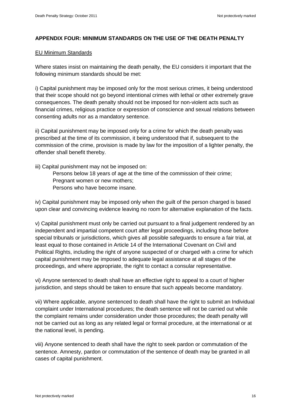#### <span id="page-15-0"></span>**APPENDIX FOUR: MINIMUM STANDARDS ON THE USE OF THE DEATH PENALTY**

#### EU Minimum Standards

Where states insist on maintaining the death penalty, the EU considers it important that the following minimum standards should be met:

i) Capital punishment may be imposed only for the most serious crimes, it being understood that their scope should not go beyond intentional crimes with lethal or other extremely grave consequences. The death penalty should not be imposed for non-violent acts such as financial crimes, religious practice or expression of conscience and sexual relations between consenting adults nor as a mandatory sentence.

ii) Capital punishment may be imposed only for a crime for which the death penalty was prescribed at the time of its commission, it being understood that if, subsequent to the commission of the crime, provision is made by law for the imposition of a lighter penalty, the offender shall benefit thereby.

- iii) Capital punishment may not be imposed on:
	- Persons below 18 years of age at the time of the commission of their crime; Pregnant women or new mothers; Persons who have become insane.

iv) Capital punishment may be imposed only when the guilt of the person charged is based upon clear and convincing evidence leaving no room for alternative explanation of the facts.

v) Capital punishment must only be carried out pursuant to a final judgement rendered by an independent and impartial competent court after legal proceedings, including those before special tribunals or jurisdictions, which gives all possible safeguards to ensure a fair trial, at least equal to those contained in Article 14 of the International Covenant on Civil and Political Rights, including the right of anyone suspected of or charged with a crime for which capital punishment may be imposed to adequate legal assistance at all stages of the proceedings, and where appropriate, the right to contact a consular representative.

vi) Anyone sentenced to death shall have an effective right to appeal to a court of higher jurisdiction, and steps should be taken to ensure that such appeals become mandatory.

vii) Where applicable, anyone sentenced to death shall have the right to submit an Individual complaint under International procedures; the death sentence will not be carried out while the complaint remains under consideration under those procedures; the death penalty will not be carried out as long as any related legal or formal procedure, at the international or at the national level, is pending.

viii) Anyone sentenced to death shall have the right to seek pardon or commutation of the sentence. Amnesty, pardon or commutation of the sentence of death may be granted in all cases of capital punishment.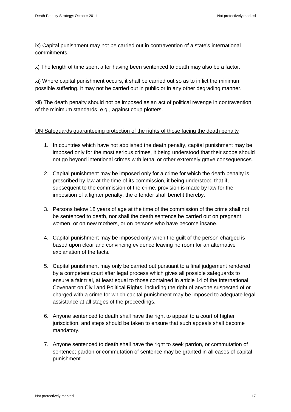ix) Capital punishment may not be carried out in contravention of a state's international commitments.

x) The length of time spent after having been sentenced to death may also be a factor.

xi) Where capital punishment occurs, it shall be carried out so as to inflict the minimum possible suffering. It may not be carried out in public or in any other degrading manner.

xii) The death penalty should not be imposed as an act of political revenge in contravention of the minimum standards, e.g., against coup plotters.

#### UN Safeguards guaranteeing protection of the rights of those facing the death penalty

- 1. In countries which have not abolished the death penalty, capital punishment may be imposed only for the most serious crimes, it being understood that their scope should not go beyond intentional crimes with lethal or other extremely grave consequences.
- 2. Capital punishment may be imposed only for a crime for which the death penalty is prescribed by law at the time of its commission, it being understood that if, subsequent to the commission of the crime, provision is made by law for the imposition of a lighter penalty, the offender shall benefit thereby.
- 3. Persons below 18 years of age at the time of the commission of the crime shall not be sentenced to death, nor shall the death sentence be carried out on pregnant women, or on new mothers, or on persons who have become insane.
- 4. Capital punishment may be imposed only when the guilt of the person charged is based upon clear and convincing evidence leaving no room for an alternative explanation of the facts.
- 5. Capital punishment may only be carried out pursuant to a final judgement rendered by a competent court after legal process which gives all possible safeguards to ensure a fair trial, at least equal to those contained in article 14 of the International Covenant on Civil and Political Rights, including the right of anyone suspected of or charged with a crime for which capital punishment may be imposed to adequate legal assistance at all stages of the proceedings.
- 6. Anyone sentenced to death shall have the right to appeal to a court of higher jurisdiction, and steps should be taken to ensure that such appeals shall become mandatory.
- 7. Anyone sentenced to death shall have the right to seek pardon, or commutation of sentence; pardon or commutation of sentence may be granted in all cases of capital punishment.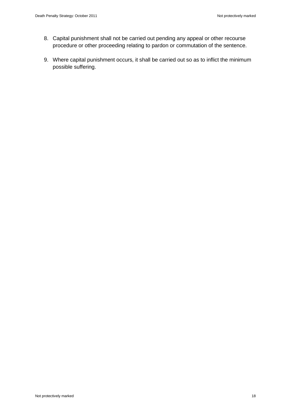- 8. Capital punishment shall not be carried out pending any appeal or other recourse procedure or other proceeding relating to pardon or commutation of the sentence.
- 9. Where capital punishment occurs, it shall be carried out so as to inflict the minimum possible suffering.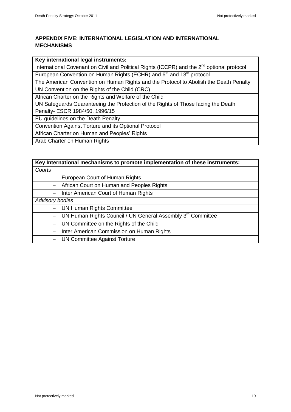#### <span id="page-18-0"></span>**APPENDIX FIVE: INTERNATIONAL LEGISLATION AND INTERNATIONAL MECHANISMS**

#### **Key international legal instruments:**

International Covenant on Civil and Political Rights (ICCPR) and the 2<sup>nd</sup> optional protocol European Convention on Human Rights (ECHR) and 6<sup>th</sup> and 13<sup>th</sup> protocol

The American Convention on Human Rights and the Protocol to Abolish the Death Penalty UN Convention on the Rights of the Child (CRC)

African Charter on the Rights and Welfare of the Child

UN Safeguards Guaranteeing the Protection of the Rights of Those facing the Death Penalty- ESCR 1984/50, 1996/15

EU guidelines on the Death Penalty

Convention Against Torture and its Optional Protocol

African Charter on Human and Peoples' Rights

Arab Charter on Human Rights

| Key International mechanisms to promote implementation of these instruments: |  |
|------------------------------------------------------------------------------|--|
| Courts                                                                       |  |
| European Court of Human Rights                                               |  |
| - African Court on Human and Peoples Rights                                  |  |
| Inter American Court of Human Rights                                         |  |
| <b>Advisory bodies</b>                                                       |  |
| <b>UN Human Rights Committee</b>                                             |  |
| UN Human Rights Council / UN General Assembly 3 <sup>rd</sup> Committee      |  |
| UN Committee on the Rights of the Child                                      |  |
| Inter American Commission on Human Rights                                    |  |
| <b>UN Committee Against Torture</b>                                          |  |
|                                                                              |  |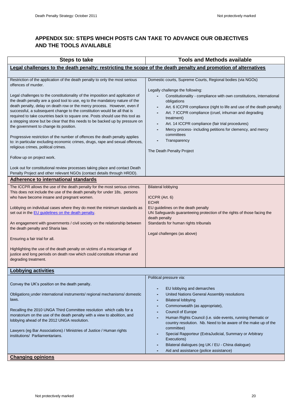### <span id="page-19-0"></span>**APPENDIX SIX: STEPS WHICH POSTS CAN TAKE TO ADVANCE OUR OBJECTIVES AND THE TOOLS AVAILABLE**

| <b>Steps to take</b>                                                                                                                                                                                                                                                                                                                                                                                                                                                                                                                                                                                                                                                                                                                                                                                                                                                        | <b>Tools and Methods available</b>                                                                                                                                                                                                                                                                                                                                                                                                                                                                                     |  |  |
|-----------------------------------------------------------------------------------------------------------------------------------------------------------------------------------------------------------------------------------------------------------------------------------------------------------------------------------------------------------------------------------------------------------------------------------------------------------------------------------------------------------------------------------------------------------------------------------------------------------------------------------------------------------------------------------------------------------------------------------------------------------------------------------------------------------------------------------------------------------------------------|------------------------------------------------------------------------------------------------------------------------------------------------------------------------------------------------------------------------------------------------------------------------------------------------------------------------------------------------------------------------------------------------------------------------------------------------------------------------------------------------------------------------|--|--|
| Legal challenges to the death penalty; restricting the scope of the death penalty and promotion of alternatives                                                                                                                                                                                                                                                                                                                                                                                                                                                                                                                                                                                                                                                                                                                                                             |                                                                                                                                                                                                                                                                                                                                                                                                                                                                                                                        |  |  |
|                                                                                                                                                                                                                                                                                                                                                                                                                                                                                                                                                                                                                                                                                                                                                                                                                                                                             |                                                                                                                                                                                                                                                                                                                                                                                                                                                                                                                        |  |  |
| Restriction of the application of the death penalty to only the most serious<br>offences of murder.<br>Legal challenges to the constitutionality of the imposition and application of<br>the death penalty are a good tool to use, eg to the mandatory nature of the<br>death penalty, delay on death row or the mercy process. However, even if<br>successful, a subsequent change to the constitution would be all that is<br>required to take countries back to square one. Posts should use this tool as<br>a stepping stone but be clear that this needs to be backed up by pressure on<br>the government to change its position.<br>Progressive restriction of the number of offences the death penalty applies<br>to: in particular excluding economic crimes, drugs, rape and sexual offences,<br>religious crimes, political crimes.<br>Follow up on project work. | Domestic courts, Supreme Courts, Regional bodies (via NGOs)<br>Legally challenge the following:<br>Constitutionality - compliance with own constitutions, international<br>obligations<br>Art. 6 ICCPR compliance (right to life and use of the death penalty)<br>Art. 7 ICCPR compliance (cruel, inhuman and degrading<br>treatment)<br>Art. 14 ICCPR compliance (fair trial procedures)<br>Mercy process- including petitions for clemency, and mercy<br>committees<br>Transparency<br>The Death Penalty Project     |  |  |
| Look out for constitutional review processes taking place and contact Death<br>Penalty Project and other relevant NGOs (contact details through HRDD).                                                                                                                                                                                                                                                                                                                                                                                                                                                                                                                                                                                                                                                                                                                      |                                                                                                                                                                                                                                                                                                                                                                                                                                                                                                                        |  |  |
| Adherence to international standards                                                                                                                                                                                                                                                                                                                                                                                                                                                                                                                                                                                                                                                                                                                                                                                                                                        |                                                                                                                                                                                                                                                                                                                                                                                                                                                                                                                        |  |  |
| The ICCPR allows the use of the death penalty for the most serious crimes.<br>This does not include the use of the death penalty for under 18s, persons<br>who have become insane and pregnant women.<br>Lobbying on individual cases where they do meet the minimum standards as<br>set out in the EU guidelines on the death penalty.<br>An engagement with governments / civil society on the relationship between<br>the death penalty and Sharia law.<br>Ensuring a fair trial for all.<br>Highlighting the use of the death penalty on victims of a miscarriage of<br>justice and long periods on death row which could constitute inhuman and<br>degrading treatment.                                                                                                                                                                                                | <b>Bilateral lobbying</b><br>ICCPR (Art. 6)<br><b>ECHR</b><br>EU guidelines on the death penalty<br>UN Safeguards guaranteeing protection of the rights of those facing the<br>death penalty<br>Standards for human rights tribunals<br>Legal challenges (as above)                                                                                                                                                                                                                                                    |  |  |
| <b>Lobbying activities</b>                                                                                                                                                                                                                                                                                                                                                                                                                                                                                                                                                                                                                                                                                                                                                                                                                                                  |                                                                                                                                                                                                                                                                                                                                                                                                                                                                                                                        |  |  |
| Convey the UK's position on the death penalty.<br>Obligations under international instruments/ regional mechanisms/ domestic<br>laws.<br>Recalling the 2010 UNGA Third Committee resolution which calls for a<br>moratorium on the use of the death penalty with a view to abolition, and<br>lobbying ahead of the 2012 UNGA resolution.<br>Lawyers (eg Bar Associations) / Ministries of Justice / Human rights<br>institutions/ Parliamentarians.                                                                                                                                                                                                                                                                                                                                                                                                                         | Political pressure via:<br>EU lobbying and demarches<br>United Nations General Assembly resolutions<br><b>Bilateral lobbying</b><br>Commonwealth (as appropriate),<br><b>Council of Europe</b><br>Human Rights Council (i.e. side events, running thematic or<br>country resolution. Nb. Need to be aware of the make up of the<br>committee)<br>Special Rapporteur (ExtraJudicial, Summary or Arbitrary<br>Executions)<br>Bilateral dialogues (eg UK / EU - China dialogue)<br>Aid and assistance (police assistance) |  |  |
| <b>Changing opinions</b>                                                                                                                                                                                                                                                                                                                                                                                                                                                                                                                                                                                                                                                                                                                                                                                                                                                    |                                                                                                                                                                                                                                                                                                                                                                                                                                                                                                                        |  |  |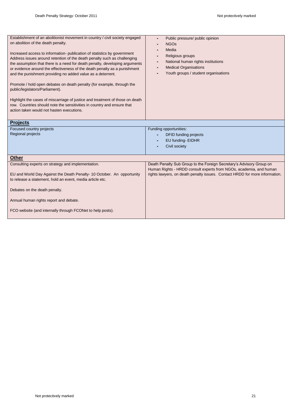| Establishment of an abolitionist movement in country / civil society engaged<br>on abolition of the death penalty.<br>Increased access to information- publication of statistics by government<br>Address issues around retention of the death penalty such as challenging<br>the assumption that there is a need for death penalty, developing arguments<br>or evidence around the effectiveness of the death penalty as a punishment<br>and the punishment providing no added value as a deterrent.<br>Promote / hold open debates on death penalty (for example, through the<br>public/legislators/Parliament).<br>Highlight the cases of miscarriage of justice and treatment of those on death<br>row. Countries should note the sensitivities in country and ensure that<br>action taken would not hasten executions.<br><b>Projects</b> | Public pressure/ public opinion<br>٠<br><b>NGOs</b><br>$\blacksquare$<br>Media<br>Religious groups<br>National human rights institutions<br>$\blacksquare$<br><b>Medical Organisations</b><br>Youth groups / student organisations |  |  |
|------------------------------------------------------------------------------------------------------------------------------------------------------------------------------------------------------------------------------------------------------------------------------------------------------------------------------------------------------------------------------------------------------------------------------------------------------------------------------------------------------------------------------------------------------------------------------------------------------------------------------------------------------------------------------------------------------------------------------------------------------------------------------------------------------------------------------------------------|------------------------------------------------------------------------------------------------------------------------------------------------------------------------------------------------------------------------------------|--|--|
| Focused country projects                                                                                                                                                                                                                                                                                                                                                                                                                                                                                                                                                                                                                                                                                                                                                                                                                       | Funding opportunities:                                                                                                                                                                                                             |  |  |
| Regional projects                                                                                                                                                                                                                                                                                                                                                                                                                                                                                                                                                                                                                                                                                                                                                                                                                              | <b>DFID funding projects</b><br>EU funding- EIDHR                                                                                                                                                                                  |  |  |
|                                                                                                                                                                                                                                                                                                                                                                                                                                                                                                                                                                                                                                                                                                                                                                                                                                                | Civil society                                                                                                                                                                                                                      |  |  |
|                                                                                                                                                                                                                                                                                                                                                                                                                                                                                                                                                                                                                                                                                                                                                                                                                                                |                                                                                                                                                                                                                                    |  |  |
| <b>Other</b>                                                                                                                                                                                                                                                                                                                                                                                                                                                                                                                                                                                                                                                                                                                                                                                                                                   |                                                                                                                                                                                                                                    |  |  |
| Consulting experts on strategy and implementation.                                                                                                                                                                                                                                                                                                                                                                                                                                                                                                                                                                                                                                                                                                                                                                                             | Death Penalty Sub Group to the Foreign Secretary's Advisory Group on<br>Human Rights - HRDD consult experts from NGOs, academia, and human                                                                                         |  |  |
| EU and World Day Against the Death Penalty- 10 October. An opportunity<br>to release a statement, hold an event, media article etc.                                                                                                                                                                                                                                                                                                                                                                                                                                                                                                                                                                                                                                                                                                            | rights lawyers, on death penalty issues. Contact HRDD for more information.                                                                                                                                                        |  |  |
| Debates on the death penalty.                                                                                                                                                                                                                                                                                                                                                                                                                                                                                                                                                                                                                                                                                                                                                                                                                  |                                                                                                                                                                                                                                    |  |  |
| Annual human rights report and debate.                                                                                                                                                                                                                                                                                                                                                                                                                                                                                                                                                                                                                                                                                                                                                                                                         |                                                                                                                                                                                                                                    |  |  |
| FCO website (and internally through FCONet to help posts).                                                                                                                                                                                                                                                                                                                                                                                                                                                                                                                                                                                                                                                                                                                                                                                     |                                                                                                                                                                                                                                    |  |  |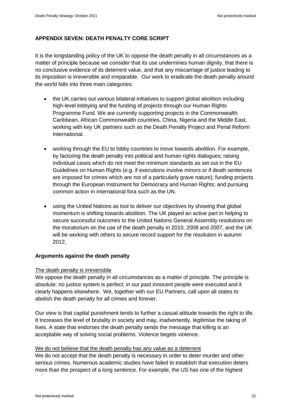#### <span id="page-21-0"></span>**APPENDIX SEVEN: DEATH PENALTY CORE SCRIPT**

It is the longstanding policy of the UK to oppose the death penalty in all circumstances as a matter of principle because we consider that its use undermines human dignity, that there is no conclusive evidence of its deterrent value, and that any miscarriage of justice leading to its imposition is irreversible and irreparable. Our work to eradicate the death penalty around the world falls into three main categories:

- the UK carries out various bilateral initiatives to support global abolition including high-level lobbying and the funding of projects through our Human Rights Programme Fund. We are currently supporting projects in the Commonwealth Caribbean, African Commonwealth countries, China, Nigeria and the Middle East, working with key UK partners such as the Death Penalty Project and Penal Reform International.
- working through the EU to lobby countries to move towards abolition. For example, by factoring the death penalty into political and human rights dialogues; raising individual cases which do not meet the minimum standards as set out in the EU Guidelines on Human Rights (e.g. if executions involve minors or if death sentences are imposed for crimes which are not of a particularly grave nature); funding projects through the European Instrument for Democracy and Human Rights; and pursuing common action in international fora such as the UN.
- using the United Nations as tool to deliver our objectives by showing that global momentum is shifting towards abolition. The UK played an active part in helping to secure successful outcomes to the United Nations General Assembly resolutions on the moratorium on the use of the death penalty in 2010, 2008 and 2007, and the UK will be working with others to secure record support for the resolution in autumn 2012.

#### **Arguments against the death penalty**

#### The death penalty is irreversible

We oppose the death penalty in all circumstances as a matter of principle. The principle is absolute: no justice system is perfect; in our past innocent people were executed and it clearly happens elsewhere. We, together with our EU Partners, call upon all states to abolish the death penalty for all crimes and forever.

Our view is that capital punishment tends to further a casual attitude towards the right to life. It increases the level of brutality in society and may, inadvertently, legitimise the taking of lives. A state that endorses the death penalty sends the message that killing is an acceptable way of solving social problems. Violence begets violence.

#### We do not believe that the death penalty has any value as a deterrent

We do not accept that the death penalty is necessary in order to deter murder and other serious crimes. Numerous academic studies have failed to establish that execution deters more than the prospect of a long sentence. For example, the US has one of the highest